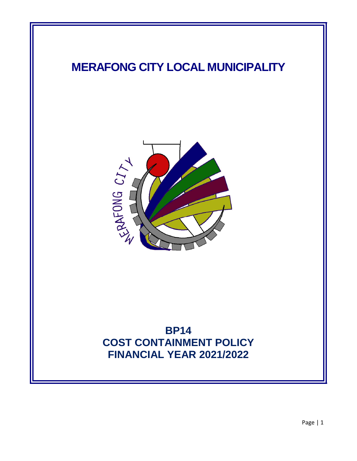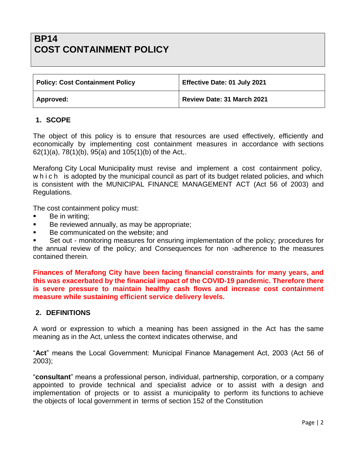# **BP14 COST CONTAINMENT POLICY**

| <b>Policy: Cost Containment Policy</b> | Effective Date: 01 July 2021 |
|----------------------------------------|------------------------------|
| Approved:                              | Review Date: 31 March 2021   |

#### **1. SCOPE**

The object of this policy is to ensure that resources are used effectively, efficiently and economically by implementing cost containment measures in accordance with sections 62(1)(a), 78(1)(b), 95(a) and 105(1)(b) of the Act,.

Merafong City Local Municipality must revise and implement a cost containment policy, w h i c h is adopted by the municipal council as part of its budget related policies, and which is consistent with the MUNICIPAL FINANCE MANAGEMENT ACT (Act 56 of 2003) and Regulations.

The cost containment policy must:

- Be in writing;
- Be reviewed annually, as may be appropriate;
- Be communicated on the website; and

 Set out - monitoring measures for ensuring implementation of the policy; procedures for the annual review of the policy; and Consequences for non -adherence to the measures contained therein.

**Finances of Merafong City have been facing financial constraints for many years, and this was exacerbated by the financial impact of the COVID-19 pandemic. Therefore there is severe pressure to maintain healthy cash flows and increase cost containment measure while sustaining efficient service delivery levels.** 

#### **2. DEFINITIONS**

A word or expression to which a meaning has been assigned in the Act has the same meaning as in the Act, unless the context indicates otherwise, and

"**Act**" means the Local Government: Municipal Finance Management Act, 2003 (Act 56 of 2003);

"**consultant**" means a professional person, individual, partnership, corporation, or a company appointed to provide technical and specialist advice or to assist with a design and implementation of projects or to assist a municipality to perform its functions to achieve the objects of local government in terms of section 152 of the Constitution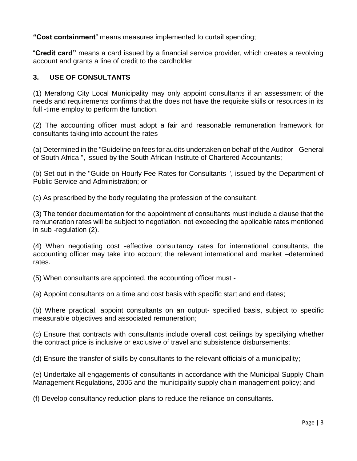**"Cost containment**" means measures implemented to curtail spending;

"**Credit card"** means a card issued by a financial service provider, which creates a revolving account and grants a line of credit to the cardholder

## **3. USE OF CONSULTANTS**

(1) Merafong City Local Municipality may only appoint consultants if an assessment of the needs and requirements confirms that the does not have the requisite skills or resources in its full -time employ to perform the function.

(2) The accounting officer must adopt a fair and reasonable remuneration framework for consultants taking into account the rates -

(a) Determined in the "Guideline on fees for audits undertaken on behalf of the Auditor - General of South Africa ", issued by the South African Institute of Chartered Accountants;

(b) Set out in the "Guide on Hourly Fee Rates for Consultants ", issued by the Department of Public Service and Administration; or

(c) As prescribed by the body regulating the profession of the consultant.

(3) The tender documentation for the appointment of consultants must include a clause that the remuneration rates will be subject to negotiation, not exceeding the applicable rates mentioned in sub -regulation (2).

(4) When negotiating cost -effective consultancy rates for international consultants, the accounting officer may take into account the relevant international and market –determined rates.

(5) When consultants are appointed, the accounting officer must -

(a) Appoint consultants on a time and cost basis with specific start and end dates;

(b) Where practical, appoint consultants on an output- specified basis, subject to specific measurable objectives and associated remuneration;

(c) Ensure that contracts with consultants include overall cost ceilings by specifying whether the contract price is inclusive or exclusive of travel and subsistence disbursements;

(d) Ensure the transfer of skills by consultants to the relevant officials of a municipality;

(e) Undertake all engagements of consultants in accordance with the Municipal Supply Chain Management Regulations, 2005 and the municipality supply chain management policy; and

(f) Develop consultancy reduction plans to reduce the reliance on consultants.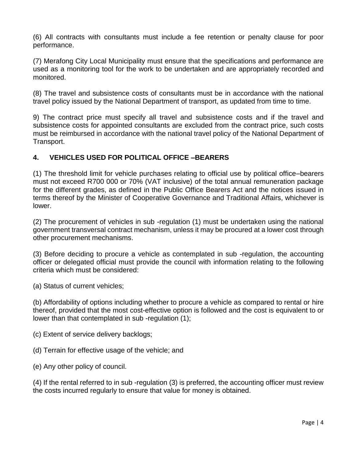(6) All contracts with consultants must include a fee retention or penalty clause for poor performance.

(7) Merafong City Local Municipality must ensure that the specifications and performance are used as a monitoring tool for the work to be undertaken and are appropriately recorded and monitored.

(8) The travel and subsistence costs of consultants must be in accordance with the national travel policy issued by the National Department of transport, as updated from time to time.

9) The contract price must specify all travel and subsistence costs and if the travel and subsistence costs for appointed consultants are excluded from the contract price, such costs must be reimbursed in accordance with the national travel policy of the National Department of Transport.

## **4. VEHICLES USED FOR POLITICAL OFFICE –BEARERS**

(1) The threshold limit for vehicle purchases relating to official use by political office–bearers must not exceed R700 000 or 70% (VAT inclusive) of the total annual remuneration package for the different grades, as defined in the Public Office Bearers Act and the notices issued in terms thereof by the Minister of Cooperative Governance and Traditional Affairs, whichever is lower.

(2) The procurement of vehicles in sub -regulation (1) must be undertaken using the national government transversal contract mechanism, unless it may be procured at a lower cost through other procurement mechanisms.

(3) Before deciding to procure a vehicle as contemplated in sub -regulation, the accounting officer or delegated official must provide the council with information relating to the following criteria which must be considered:

(a) Status of current vehicles;

(b) Affordability of options including whether to procure a vehicle as compared to rental or hire thereof, provided that the most cost-effective option is followed and the cost is equivalent to or lower than that contemplated in sub -regulation (1);

(c) Extent of service delivery backlogs;

- (d) Terrain for effective usage of the vehicle; and
- (e) Any other policy of council.

(4) If the rental referred to in sub -regulation (3) is preferred, the accounting officer must review the costs incurred regularly to ensure that value for money is obtained.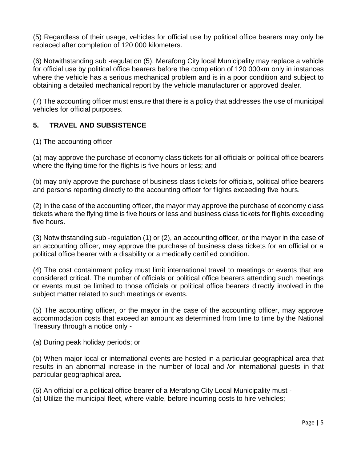(5) Regardless of their usage, vehicles for official use by political office bearers may only be replaced after completion of 120 000 kilometers.

(6) Notwithstanding sub -regulation (5), Merafong City local Municipality may replace a vehicle for official use by political office bearers before the completion of 120 000km only in instances where the vehicle has a serious mechanical problem and is in a poor condition and subject to obtaining a detailed mechanical report by the vehicle manufacturer or approved dealer.

(7) The accounting officer must ensure that there is a policy that addresses the use of municipal vehicles for official purposes.

## **5. TRAVEL AND SUBSISTENCE**

(1) The accounting officer -

(a) may approve the purchase of economy class tickets for all officials or political office bearers where the flying time for the flights is five hours or less; and

(b) may only approve the purchase of business class tickets for officials, political office bearers and persons reporting directly to the accounting officer for flights exceeding five hours.

(2) In the case of the accounting officer, the mayor may approve the purchase of economy class tickets where the flying time is five hours or less and business class tickets for flights exceeding five hours.

(3) Notwithstanding sub -regulation (1) or (2), an accounting officer, or the mayor in the case of an accounting officer, may approve the purchase of business class tickets for an official or a political office bearer with a disability or a medically certified condition.

(4) The cost containment policy must limit international travel to meetings or events that are considered critical. The number of officials or political office bearers attending such meetings or events must be limited to those officials or political office bearers directly involved in the subject matter related to such meetings or events.

(5) The accounting officer, or the mayor in the case of the accounting officer, may approve accommodation costs that exceed an amount as determined from time to time by the National Treasury through a notice only -

(a) During peak holiday periods; or

(b) When major local or international events are hosted in a particular geographical area that results in an abnormal increase in the number of local and /or international guests in that particular geographical area.

(6) An official or a political office bearer of a Merafong City Local Municipality must -

(a) Utilize the municipal fleet, where viable, before incurring costs to hire vehicles;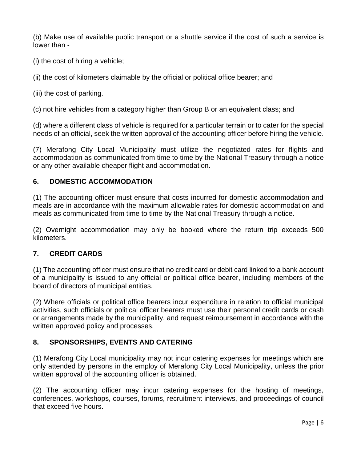(b) Make use of available public transport or a shuttle service if the cost of such a service is lower than -

- (i) the cost of hiring a vehicle;
- (ii) the cost of kilometers claimable by the official or political office bearer; and
- (iii) the cost of parking.

(c) not hire vehicles from a category higher than Group B or an equivalent class; and

(d) where a different class of vehicle is required for a particular terrain or to cater for the special needs of an official, seek the written approval of the accounting officer before hiring the vehicle.

(7) Merafong City Local Municipality must utilize the negotiated rates for flights and accommodation as communicated from time to time by the National Treasury through a notice or any other available cheaper flight and accommodation.

#### **6. DOMESTIC ACCOMMODATION**

(1) The accounting officer must ensure that costs incurred for domestic accommodation and meals are in accordance with the maximum allowable rates for domestic accommodation and meals as communicated from time to time by the National Treasury through a notice.

(2) Overnight accommodation may only be booked where the return trip exceeds 500 kilometers.

#### **7. CREDIT CARDS**

(1) The accounting officer must ensure that no credit card or debit card linked to a bank account of a municipality is issued to any official or political office bearer, including members of the board of directors of municipal entities.

(2) Where officials or political office bearers incur expenditure in relation to official municipal activities, such officials or political officer bearers must use their personal credit cards or cash or arrangements made by the municipality, and request reimbursement in accordance with the written approved policy and processes.

## **8. SPONSORSHIPS, EVENTS AND CATERING**

(1) Merafong City Local municipality may not incur catering expenses for meetings which are only attended by persons in the employ of Merafong City Local Municipality, unless the prior written approval of the accounting officer is obtained.

(2) The accounting officer may incur catering expenses for the hosting of meetings, conferences, workshops, courses, forums, recruitment interviews, and proceedings of council that exceed five hours.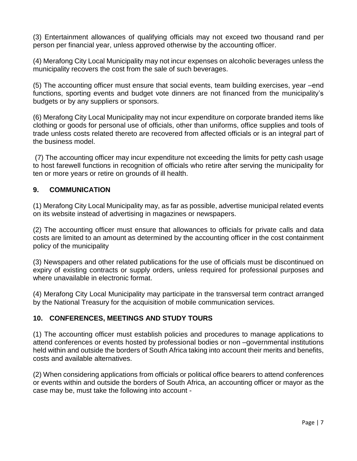(3) Entertainment allowances of qualifying officials may not exceed two thousand rand per person per financial year, unless approved otherwise by the accounting officer.

(4) Merafong City Local Municipality may not incur expenses on alcoholic beverages unless the municipality recovers the cost from the sale of such beverages.

(5) The accounting officer must ensure that social events, team building exercises, year –end functions, sporting events and budget vote dinners are not financed from the municipality's budgets or by any suppliers or sponsors.

(6) Merafong City Local Municipality may not incur expenditure on corporate branded items like clothing or goods for personal use of officials, other than uniforms, office supplies and tools of trade unless costs related thereto are recovered from affected officials or is an integral part of the business model.

(7) The accounting officer may incur expenditure not exceeding the limits for petty cash usage to host farewell functions in recognition of officials who retire after serving the municipality for ten or more years or retire on grounds of ill health.

## **9. COMMUNICATION**

(1) Merafong City Local Municipality may, as far as possible, advertise municipal related events on its website instead of advertising in magazines or newspapers.

(2) The accounting officer must ensure that allowances to officials for private calls and data costs are limited to an amount as determined by the accounting officer in the cost containment policy of the municipality

(3) Newspapers and other related publications for the use of officials must be discontinued on expiry of existing contracts or supply orders, unless required for professional purposes and where unavailable in electronic format.

(4) Merafong City Local Municipality may participate in the transversal term contract arranged by the National Treasury for the acquisition of mobile communication services.

#### **10. CONFERENCES, MEETINGS AND STUDY TOURS**

(1) The accounting officer must establish policies and procedures to manage applications to attend conferences or events hosted by professional bodies or non –governmental institutions held within and outside the borders of South Africa taking into account their merits and benefits, costs and available alternatives.

(2) When considering applications from officials or political office bearers to attend conferences or events within and outside the borders of South Africa, an accounting officer or mayor as the case may be, must take the following into account -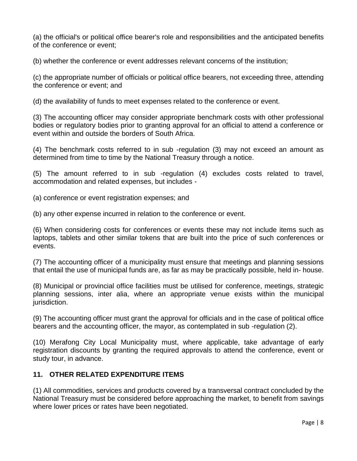(a) the official's or political office bearer's role and responsibilities and the anticipated benefits of the conference or event;

(b) whether the conference or event addresses relevant concerns of the institution;

(c) the appropriate number of officials or political office bearers, not exceeding three, attending the conference or event; and

(d) the availability of funds to meet expenses related to the conference or event.

(3) The accounting officer may consider appropriate benchmark costs with other professional bodies or regulatory bodies prior to granting approval for an official to attend a conference or event within and outside the borders of South Africa.

(4) The benchmark costs referred to in sub -regulation (3) may not exceed an amount as determined from time to time by the National Treasury through a notice.

(5) The amount referred to in sub -regulation (4) excludes costs related to travel, accommodation and related expenses, but includes -

(a) conference or event registration expenses; and

(b) any other expense incurred in relation to the conference or event.

(6) When considering costs for conferences or events these may not include items such as laptops, tablets and other similar tokens that are built into the price of such conferences or events.

(7) The accounting officer of a municipality must ensure that meetings and planning sessions that entail the use of municipal funds are, as far as may be practically possible, held in- house.

(8) Municipal or provincial office facilities must be utilised for conference, meetings, strategic planning sessions, inter alia, where an appropriate venue exists within the municipal jurisdiction.

(9) The accounting officer must grant the approval for officials and in the case of political office bearers and the accounting officer, the mayor, as contemplated in sub -regulation (2).

(10) Merafong City Local Municipality must, where applicable, take advantage of early registration discounts by granting the required approvals to attend the conference, event or study tour, in advance.

## **11. OTHER RELATED EXPENDITURE ITEMS**

(1) All commodities, services and products covered by a transversal contract concluded by the National Treasury must be considered before approaching the market, to benefit from savings where lower prices or rates have been negotiated.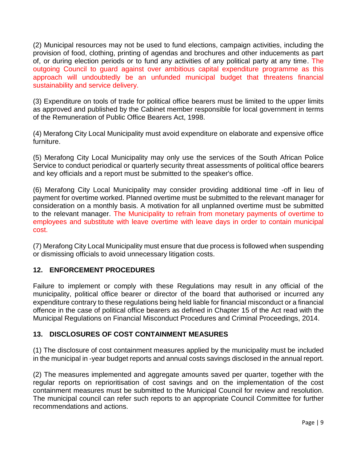(2) Municipal resources may not be used to fund elections, campaign activities, including the provision of food, clothing, printing of agendas and brochures and other inducements as part of, or during election periods or to fund any activities of any political party at any time. The outgoing Council to guard against over ambitious capital expenditure programme as this approach will undoubtedly be an unfunded municipal budget that threatens financial sustainability and service delivery.

(3) Expenditure on tools of trade for political office bearers must be limited to the upper limits as approved and published by the Cabinet member responsible for local government in terms of the Remuneration of Public Office Bearers Act, 1998.

(4) Merafong City Local Municipality must avoid expenditure on elaborate and expensive office furniture.

(5) Merafong City Local Municipality may only use the services of the South African Police Service to conduct periodical or quarterly security threat assessments of political office bearers and key officials and a report must be submitted to the speaker's office.

(6) Merafong City Local Municipality may consider providing additional time -off in lieu of payment for overtime worked. Planned overtime must be submitted to the relevant manager for consideration on a monthly basis. A motivation for all unplanned overtime must be submitted to the relevant manager. The Municipality to refrain from monetary payments of overtime to employees and substitute with leave overtime with leave days in order to contain municipal cost.

(7) Merafong City Local Municipality must ensure that due process is followed when suspending or dismissing officials to avoid unnecessary litigation costs.

## **12. ENFORCEMENT PROCEDURES**

Failure to implement or comply with these Regulations may result in any official of the municipality, political office bearer or director of the board that authorised or incurred any expenditure contrary to these regulations being held liable for financial misconduct or a financial offence in the case of political office bearers as defined in Chapter 15 of the Act read with the Municipal Regulations on Financial Misconduct Procedures and Criminal Proceedings, 2014.

## **13. DISCLOSURES OF COST CONTAINMENT MEASURES**

(1) The disclosure of cost containment measures applied by the municipality must be included in the municipal in -year budget reports and annual costs savings disclosed in the annual report.

(2) The measures implemented and aggregate amounts saved per quarter, together with the regular reports on reprioritisation of cost savings and on the implementation of the cost containment measures must be submitted to the Municipal Council for review and resolution. The municipal council can refer such reports to an appropriate Council Committee for further recommendations and actions.